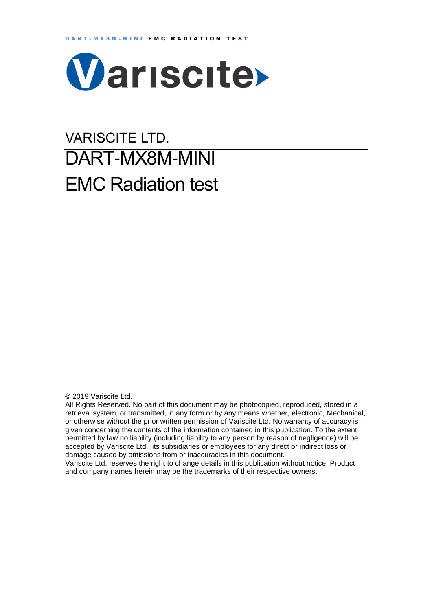

# VARISCITE LTD. DART-MX8M-MINI EMC Radiation test

© 2019 Variscite Ltd.

All Rights Reserved. No part of this document may be photocopied, reproduced, stored in a retrieval system, or transmitted, in any form or by any means whether, electronic, Mechanical, or otherwise without the prior written permission of Variscite Ltd. No warranty of accuracy is given concerning the contents of the information contained in this publication. To the extent permitted by law no liability (including liability to any person by reason of negligence) will be accepted by Variscite Ltd., its subsidiaries or employees for any direct or indirect loss or damage caused by omissions from or inaccuracies in this document.

Variscite Ltd. reserves the right to change details in this publication without notice. Product and company names herein may be the trademarks of their respective owners.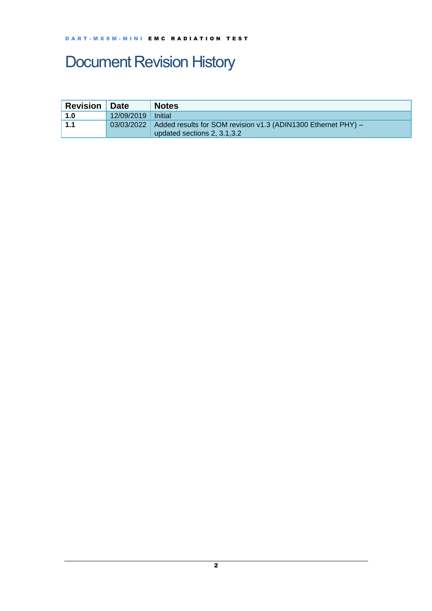## <span id="page-1-0"></span>Document Revision History

| <b>Revision</b> | <b>Date</b>          | <b>Notes</b>                                                               |
|-----------------|----------------------|----------------------------------------------------------------------------|
| 1.0             | 12/09/2019   Initial |                                                                            |
| 1.1             |                      | 03/03/2022   Added results for SOM revision v1.3 (ADIN1300 Ethernet PHY) - |
|                 |                      | updated sections 2, 3.1.3.2                                                |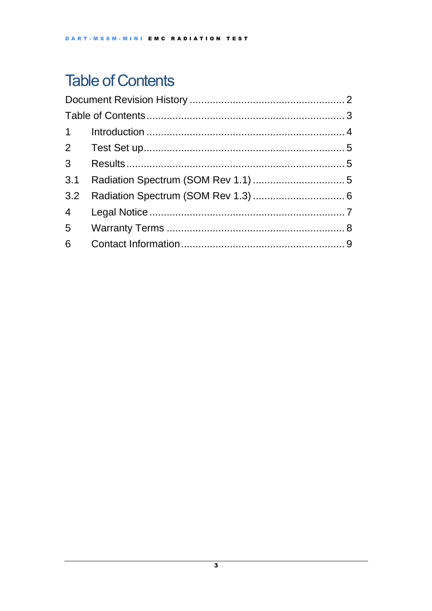## <span id="page-2-0"></span>**Table of Contents**

| 3 <sup>7</sup>  |  |  |  |  |  |
|-----------------|--|--|--|--|--|
| 3.1             |  |  |  |  |  |
| 3.2             |  |  |  |  |  |
| $4\overline{ }$ |  |  |  |  |  |
| 5 <sub>5</sub>  |  |  |  |  |  |
| 6               |  |  |  |  |  |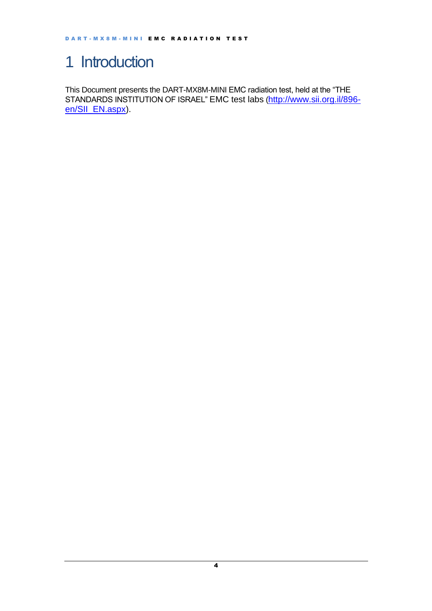## <span id="page-3-0"></span>1 Introduction

This Document presents the DART-MX8M-MINI EMC radiation test, held at the "THE STANDARDS INSTITUTION OF ISRAEL" EMC test labs ([http://www.sii.org.il/896](http://www.sii.org.il/896-en/SII_EN.aspx) [en/SII\\_EN.aspx\)](http://www.sii.org.il/896-en/SII_EN.aspx).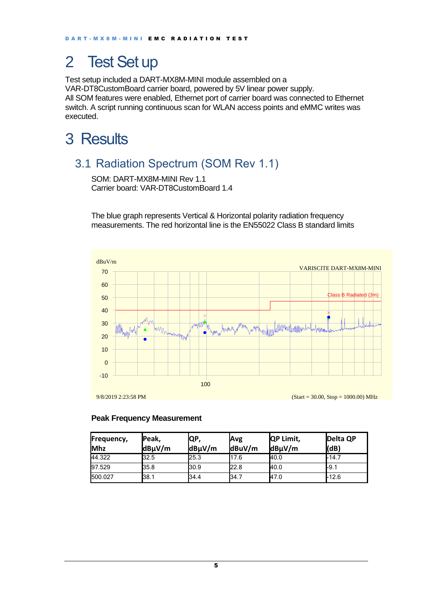## <span id="page-4-0"></span>2 Test Set up

Test setup included a DART-MX8M-MINI module assembled on a VAR-DT8CustomBoard carrier board, powered by 5V linear power supply. All SOM features were enabled, Ethernet port of carrier board was connected to Ethernet switch. A script running continuous scan for WLAN access points and eMMC writes was executed.

## <span id="page-4-1"></span>3 Results

### <span id="page-4-2"></span>3.1 Radiation Spectrum (SOM Rev 1.1)

SOM: DART-MX8M-MINI Rev 1.1 Carrier board: VAR-DT8CustomBoard 1.4

The blue graph represents Vertical & Horizontal polarity radiation frequency measurements. The red horizontal line is the EN55022 Class B standard limits



### **Peak Frequency Measurement**

| Frequency, | lPeak, | QP,    | Avg    | <b>QP Limit,</b> | Delta QP |
|------------|--------|--------|--------|------------------|----------|
| Mhz        | dBµV/m | dBµV/m | dBuV/m | dBµV/m           | (dB)     |
| 44.322     | 32.5   | 25.3   | 17.6   | 40.0             | $-14.7$  |
| 97.529     | 35.8   | 30.9   | 22.8   | 40.0             | -9.1     |
| 500.027    | 38.1   | 34.4   | 34.7   | 47.0             | $-12.6$  |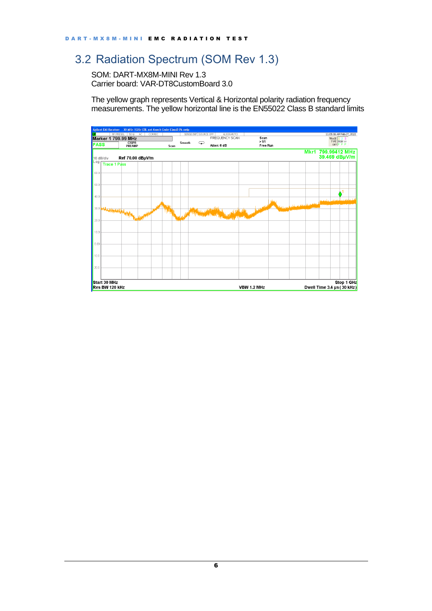### <span id="page-5-0"></span>3.2 Radiation Spectrum (SOM Rev 1.3)

SOM: DART-MX8M-MINI Rev 1.3 Carrier board: VAR-DT8CustomBoard 3.0

The yellow graph represents Vertical & Horizontal polarity radiation frequency measurements. The yellow horizontal line is the EN55022 Class B standard limits

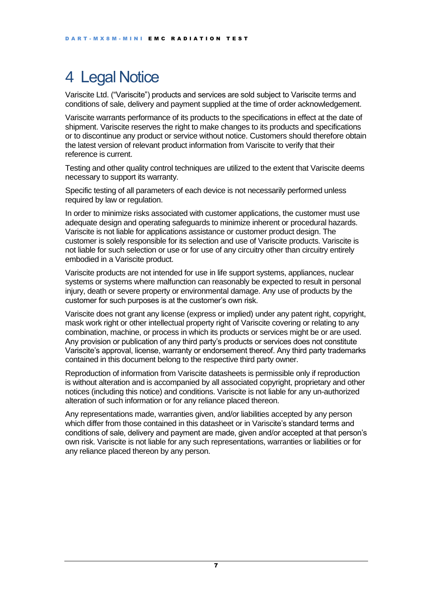### <span id="page-6-0"></span>4 Legal Notice

Variscite Ltd. ("Variscite") products and services are sold subject to Variscite terms and conditions of sale, delivery and payment supplied at the time of order acknowledgement.

Variscite warrants performance of its products to the specifications in effect at the date of shipment. Variscite reserves the right to make changes to its products and specifications or to discontinue any product or service without notice. Customers should therefore obtain the latest version of relevant product information from Variscite to verify that their reference is current.

Testing and other quality control techniques are utilized to the extent that Variscite deems necessary to support its warranty.

Specific testing of all parameters of each device is not necessarily performed unless required by law or requilation.

In order to minimize risks associated with customer applications, the customer must use adequate design and operating safeguards to minimize inherent or procedural hazards. Variscite is not liable for applications assistance or customer product design. The customer is solely responsible for its selection and use of Variscite products. Variscite is not liable for such selection or use or for use of any circuitry other than circuitry entirely embodied in a Variscite product.

Variscite products are not intended for use in life support systems, appliances, nuclear systems or systems where malfunction can reasonably be expected to result in personal injury, death or severe property or environmental damage. Any use of products by the customer for such purposes is at the customer's own risk.

Variscite does not grant any license (express or implied) under any patent right, copyright, mask work right or other intellectual property right of Variscite covering or relating to any combination, machine, or process in which its products or services might be or are used. Any provision or publication of any third party's products or services does not constitute Variscite's approval, license, warranty or endorsement thereof. Any third party trademarks contained in this document belong to the respective third party owner.

Reproduction of information from Variscite datasheets is permissible only if reproduction is without alteration and is accompanied by all associated copyright, proprietary and other notices (including this notice) and conditions. Variscite is not liable for any un-authorized alteration of such information or for any reliance placed thereon.

Any representations made, warranties given, and/or liabilities accepted by any person which differ from those contained in this datasheet or in Variscite's standard terms and conditions of sale, delivery and payment are made, given and/or accepted at that person's own risk. Variscite is not liable for any such representations, warranties or liabilities or for any reliance placed thereon by any person.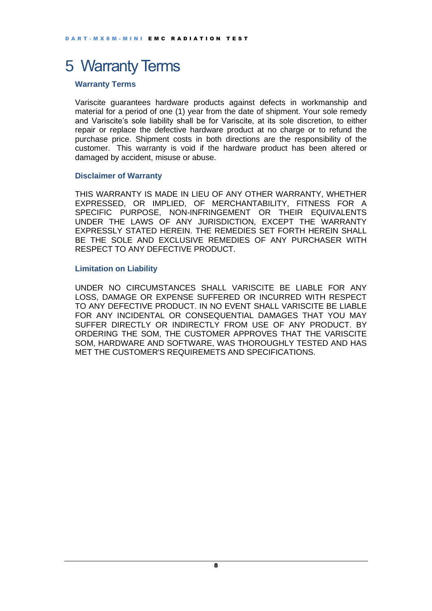### <span id="page-7-0"></span>5 Warranty Terms

#### **Warranty Terms**

Variscite guarantees hardware products against defects in workmanship and material for a period of one (1) year from the date of shipment. Your sole remedy and Variscite's sole liability shall be for Variscite, at its sole discretion, to either repair or replace the defective hardware product at no charge or to refund the purchase price. Shipment costs in both directions are the responsibility of the customer. This warranty is void if the hardware product has been altered or damaged by accident, misuse or abuse.

#### **Disclaimer of Warranty**

THIS WARRANTY IS MADE IN LIEU OF ANY OTHER WARRANTY, WHETHER EXPRESSED, OR IMPLIED, OF MERCHANTABILITY, FITNESS FOR A SPECIFIC PURPOSE, NON-INFRINGEMENT OR THEIR EQUIVALENTS UNDER THE LAWS OF ANY JURISDICTION, EXCEPT THE WARRANTY EXPRESSLY STATED HEREIN. THE REMEDIES SET FORTH HEREIN SHALL BE THE SOLE AND EXCLUSIVE REMEDIES OF ANY PURCHASER WITH RESPECT TO ANY DEFECTIVE PRODUCT.

#### **Limitation on Liability**

UNDER NO CIRCUMSTANCES SHALL VARISCITE BE LIABLE FOR ANY LOSS, DAMAGE OR EXPENSE SUFFERED OR INCURRED WITH RESPECT TO ANY DEFECTIVE PRODUCT. IN NO EVENT SHALL VARISCITE BE LIABLE FOR ANY INCIDENTAL OR CONSEQUENTIAL DAMAGES THAT YOU MAY SUFFER DIRECTLY OR INDIRECTLY FROM USE OF ANY PRODUCT. BY ORDERING THE SOM, THE CUSTOMER APPROVES THAT THE VARISCITE SOM, HARDWARE AND SOFTWARE, WAS THOROUGHLY TESTED AND HAS MET THE CUSTOMER'S REQUIREMETS AND SPECIFICATIONS.